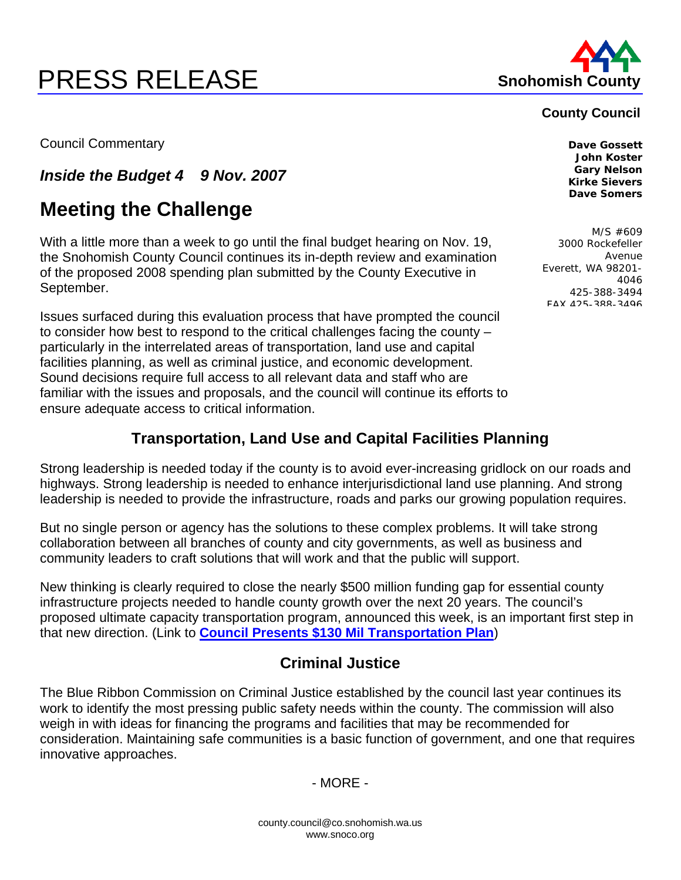# **PRESS RELEASE Shohomish County**



#### **County Council**

Council Commentary **Dave Gossett** 

*Inside the Budget 4 9 Nov. 2007* 

# **Meeting the Challenge**

With a little more than a week to go until the final budget hearing on Nov. 19, the Snohomish County Council continues its in-depth review and examination of the proposed 2008 spending plan submitted by the County Executive in September.

Issues surfaced during this evaluation process that have prompted the council to consider how best to respond to the critical challenges facing the county – particularly in the interrelated areas of transportation, land use and capital facilities planning, as well as criminal justice, and economic development. Sound decisions require full access to all relevant data and staff who are familiar with the issues and proposals, and the council will continue its efforts to ensure adequate access to critical information.

#### **John Koster Gary Nelson Kirke Sievers Dave Somers**

M/S #609 3000 Rockefeller Avenue Everett, WA 98201- 4046 425-388-3494 FAX 425-388-3496

## **Transportation, Land Use and Capital Facilities Planning**

Strong leadership is needed today if the county is to avoid ever-increasing gridlock on our roads and highways. Strong leadership is needed to enhance interjurisdictional land use planning. And strong leadership is needed to provide the infrastructure, roads and parks our growing population requires.

But no single person or agency has the solutions to these complex problems. It will take strong collaboration between all branches of county and city governments, as well as business and community leaders to craft solutions that will work and that the public will support.

New thinking is clearly required to close the nearly \$500 million funding gap for essential county infrastructure projects needed to handle county growth over the next 20 years. The council's proposed ultimate capacity transportation program, announced this week, is an important first step in that new direction. (Link to **[Council Presents \\$130 Mil Transportation Plan](http://www.co.snohomish.wa.us/documents/Departments/Council/News/Counciltransplan2007.pdf)**)

### **Criminal Justice**

The Blue Ribbon Commission on Criminal Justice established by the council last year continues its work to identify the most pressing public safety needs within the county. The commission will also weigh in with ideas for financing the programs and facilities that may be recommended for consideration. Maintaining safe communities is a basic function of government, and one that requires innovative approaches.

- MORE -